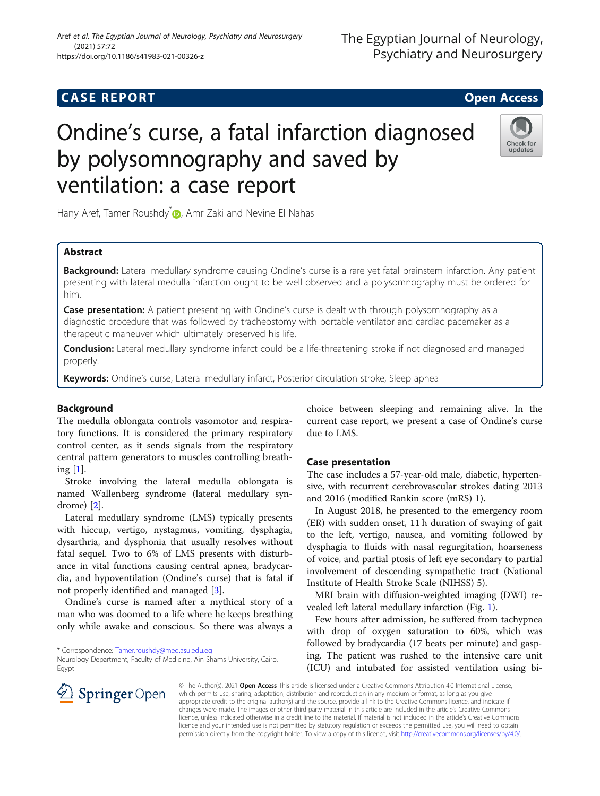# **CASE REPORT CASE REPORT CASE REPORT** Ondine's curse, a fatal infarction diagnosed by polysomnography and saved by

Hany Aref[,](http://orcid.org/0000-0002-3123-9204) Tamer Roushdy<sup>\*</sup><sup>0</sup>, Amr Zaki and Nevine El Nahas

ventilation: a case report

# Abstract

Background: Lateral medullary syndrome causing Ondine's curse is a rare yet fatal brainstem infarction. Any patient presenting with lateral medulla infarction ought to be well observed and a polysomnography must be ordered for him.

**Case presentation:** A patient presenting with Ondine's curse is dealt with through polysomnography as a diagnostic procedure that was followed by tracheostomy with portable ventilator and cardiac pacemaker as a therapeutic maneuver which ultimately preserved his life.

**Conclusion:** Lateral medullary syndrome infarct could be a life-threatening stroke if not diagnosed and managed properly.

Keywords: Ondine's curse, Lateral medullary infarct, Posterior circulation stroke, Sleep apnea

# Background

The medulla oblongata controls vasomotor and respiratory functions. It is considered the primary respiratory control center, as it sends signals from the respiratory central pattern generators to muscles controlling breathing  $[1]$  $[1]$ .

Stroke involving the lateral medulla oblongata is named Wallenberg syndrome (lateral medullary syndrome) [[2](#page-2-0)].

Lateral medullary syndrome (LMS) typically presents with hiccup, vertigo, nystagmus, vomiting, dysphagia, dysarthria, and dysphonia that usually resolves without fatal sequel. Two to 6% of LMS presents with disturbance in vital functions causing central apnea, bradycardia, and hypoventilation (Ondine's curse) that is fatal if not properly identified and managed [[3\]](#page-2-0).

Ondine's curse is named after a mythical story of a man who was doomed to a life where he keeps breathing only while awake and conscious. So there was always a

\* Correspondence: [Tamer.roushdy@med.asu.edu.eg](mailto:Tamer.roushdy@med.asu.edu.eg)

choice between sleeping and remaining alive. In the current case report, we present a case of Ondine's curse due to LMS.

## Case presentation

The case includes a 57-year-old male, diabetic, hypertensive, with recurrent cerebrovascular strokes dating 2013 and 2016 (modified Rankin score (mRS) 1).

In August 2018, he presented to the emergency room (ER) with sudden onset, 11 h duration of swaying of gait to the left, vertigo, nausea, and vomiting followed by dysphagia to fluids with nasal regurgitation, hoarseness of voice, and partial ptosis of left eye secondary to partial involvement of descending sympathetic tract (National Institute of Health Stroke Scale (NIHSS) 5).

MRI brain with diffusion-weighted imaging (DWI) revealed left lateral medullary infarction (Fig. [1\)](#page-1-0).

Few hours after admission, he suffered from tachypnea with drop of oxygen saturation to 60%, which was followed by bradycardia (17 beats per minute) and gasping. The patient was rushed to the intensive care unit (ICU) and intubated for assisted ventilation using bi-

© The Author(s). 2021 Open Access This article is licensed under a Creative Commons Attribution 4.0 International License, which permits use, sharing, adaptation, distribution and reproduction in any medium or format, as long as you give appropriate credit to the original author(s) and the source, provide a link to the Creative Commons licence, and indicate if changes were made. The images or other third party material in this article are included in the article's Creative Commons licence, unless indicated otherwise in a credit line to the material. If material is not included in the article's Creative Commons licence and your intended use is not permitted by statutory regulation or exceeds the permitted use, you will need to obtain permission directly from the copyright holder. To view a copy of this licence, visit <http://creativecommons.org/licenses/by/4.0/>.





# Aref et al. The Egyptian Journal of Neurology, Psychiatry and Neurosurgery (2021) 57:72 https://doi.org/10.1186/s41983-021-00326-z

Neurology Department, Faculty of Medicine, Ain Shams University, Cairo, Egypt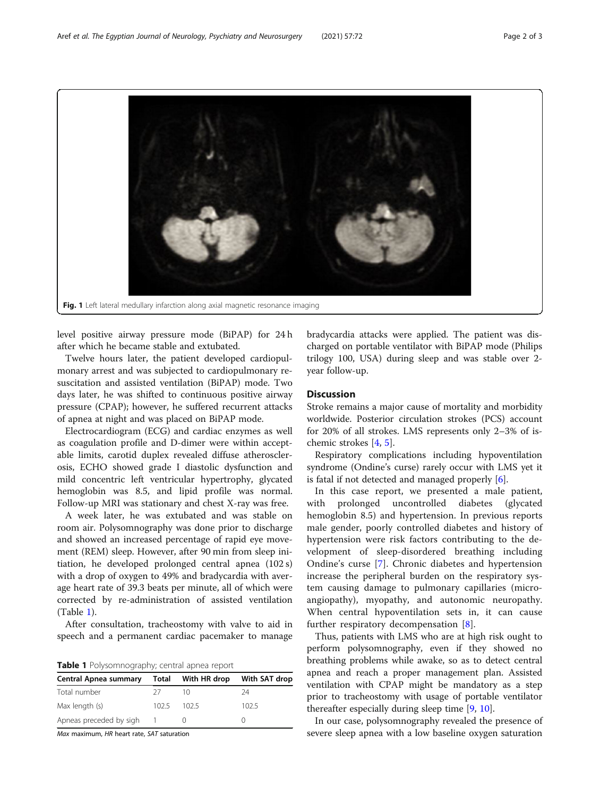<span id="page-1-0"></span>Fig. 1 Left lateral medullary infarction along axial magnetic resonance imaging

level positive airway pressure mode (BiPAP) for 24 h after which he became stable and extubated.

Twelve hours later, the patient developed cardiopulmonary arrest and was subjected to cardiopulmonary resuscitation and assisted ventilation (BiPAP) mode. Two days later, he was shifted to continuous positive airway pressure (CPAP); however, he suffered recurrent attacks of apnea at night and was placed on BiPAP mode.

Electrocardiogram (ECG) and cardiac enzymes as well as coagulation profile and D-dimer were within acceptable limits, carotid duplex revealed diffuse atherosclerosis, ECHO showed grade I diastolic dysfunction and mild concentric left ventricular hypertrophy, glycated hemoglobin was 8.5, and lipid profile was normal. Follow-up MRI was stationary and chest X-ray was free.

A week later, he was extubated and was stable on room air. Polysomnography was done prior to discharge and showed an increased percentage of rapid eye movement (REM) sleep. However, after 90 min from sleep initiation, he developed prolonged central apnea (102 s) with a drop of oxygen to 49% and bradycardia with average heart rate of 39.3 beats per minute, all of which were corrected by re-administration of assisted ventilation (Table 1).

After consultation, tracheostomy with valve to aid in speech and a permanent cardiac pacemaker to manage

Table 1 Polysomnography; central apnea report

|       | With HR drop | With SAT drop |
|-------|--------------|---------------|
| 27    |              | 24            |
| 102.5 | 102.5        | 102.5         |
|       |              |               |
|       |              | Total         |

Max maximum, HR heart rate, SAT saturation

bradycardia attacks were applied. The patient was discharged on portable ventilator with BiPAP mode (Philips trilogy 100, USA) during sleep and was stable over 2 year follow-up.

# **Discussion**

Stroke remains a major cause of mortality and morbidity worldwide. Posterior circulation strokes (PCS) account for 20% of all strokes. LMS represents only 2–3% of ischemic strokes [[4,](#page-2-0) [5\]](#page-2-0).

Respiratory complications including hypoventilation syndrome (Ondine's curse) rarely occur with LMS yet it is fatal if not detected and managed properly  $[6]$  $[6]$ .

In this case report, we presented a male patient, with prolonged uncontrolled diabetes (glycated hemoglobin 8.5) and hypertension. In previous reports male gender, poorly controlled diabetes and history of hypertension were risk factors contributing to the development of sleep-disordered breathing including Ondine's curse [\[7](#page-2-0)]. Chronic diabetes and hypertension increase the peripheral burden on the respiratory system causing damage to pulmonary capillaries (microangiopathy), myopathy, and autonomic neuropathy. When central hypoventilation sets in, it can cause further respiratory decompensation [[8\]](#page-2-0).

Thus, patients with LMS who are at high risk ought to perform polysomnography, even if they showed no breathing problems while awake, so as to detect central apnea and reach a proper management plan. Assisted ventilation with CPAP might be mandatory as a step prior to tracheostomy with usage of portable ventilator thereafter especially during sleep time [\[9](#page-2-0), [10](#page-2-0)].

In our case, polysomnography revealed the presence of severe sleep apnea with a low baseline oxygen saturation